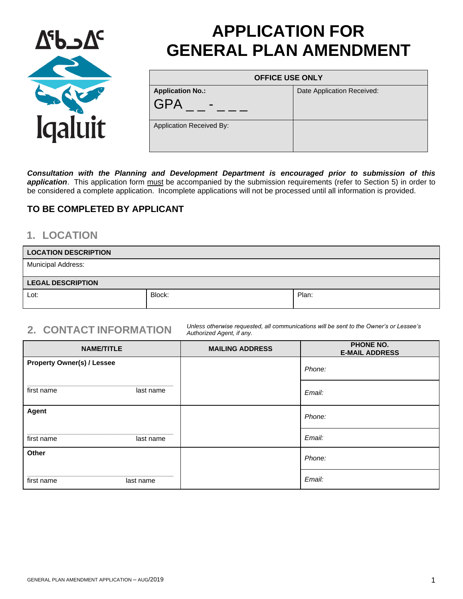

# **APPLICATION FOR GENERAL PLAN AMENDMENT**

| <b>OFFICE USE ONLY</b>          |                            |
|---------------------------------|----------------------------|
| <b>Application No.:</b>         | Date Application Received: |
| <b>GPA</b><br>$\blacksquare$    |                            |
| <b>Application Received By:</b> |                            |

*Consultation with the Planning and Development Department is encouraged prior to submission of this*  application. This application form must be accompanied by the submission requirements (refer to Section 5) in order to be considered a complete application. Incomplete applications will not be processed until all information is provided.

### **TO BE COMPLETED BY APPLICANT**

## **1. LOCATION**

| <b>LOCATION DESCRIPTION</b> |        |       |
|-----------------------------|--------|-------|
| <b>Municipal Address:</b>   |        |       |
| <b>LEGAL DESCRIPTION</b>    |        |       |
| Lot:                        | Block: | Plan: |

**2. CONTACT INFORMATION** *Unless otherwise requested, all communications will be sent to the Owner's or Lessee's Authorized Agent, if any.*

| <b>NAME/TITLE</b>                 | <b>MAILING ADDRESS</b> | <b>PHONE NO.</b><br><b>E-MAIL ADDRESS</b> |
|-----------------------------------|------------------------|-------------------------------------------|
| <b>Property Owner(s) / Lessee</b> |                        | Phone:                                    |
| first name<br>last name           |                        | Email:                                    |
| Agent                             |                        | Phone:                                    |
| first name<br>last name           |                        | Email:                                    |
| Other                             |                        | Phone:                                    |
| first name<br>last name           |                        | Email:                                    |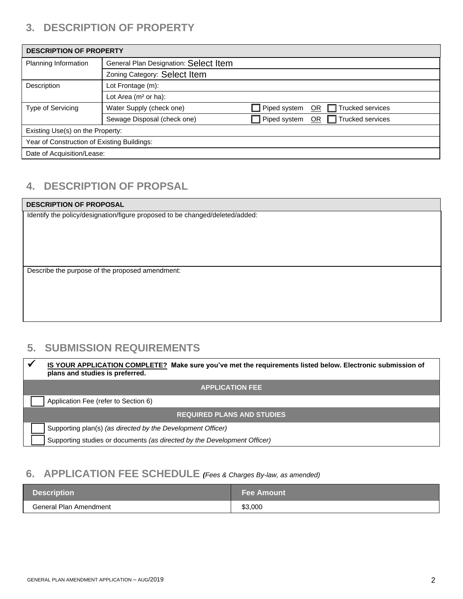# **3. DESCRIPTION OF PROPERTY**

| <b>DESCRIPTION OF PROPERTY</b>              |                                       |              |                               |
|---------------------------------------------|---------------------------------------|--------------|-------------------------------|
| Planning Information                        | General Plan Designation: Select Item |              |                               |
|                                             | Zoning Category: Select Item          |              |                               |
| Description                                 | Lot Frontage (m):                     |              |                               |
|                                             | Lot Area ( $m2$ or ha):               |              |                               |
| Type of Servicing                           | Water Supply (check one)              | Piped system | $\Box$ Trucked services<br>OR |
|                                             | Sewage Disposal (check one)           | Piped system | $\Box$ Trucked services<br>OR |
| Existing Use(s) on the Property:            |                                       |              |                               |
| Year of Construction of Existing Buildings: |                                       |              |                               |
| Date of Acquisition/Lease:                  |                                       |              |                               |

# **4. DESCRIPTION OF PROPSAL**

#### **DESCRIPTION OF PROPOSAL** Identify the policy/designation/figure proposed to be changed/deleted/added:

Describe the purpose of the proposed amendment:

# **5. SUBMISSION REQUIREMENTS**

| IS YOUR APPLICATION COMPLETE? Make sure you've met the requirements listed below. Electronic submission of<br>plans and studies is preferred. |  |
|-----------------------------------------------------------------------------------------------------------------------------------------------|--|
| <b>APPLICATION FEE</b>                                                                                                                        |  |
| Application Fee (refer to Section 6)                                                                                                          |  |
| <b>REQUIRED PLANS AND STUDIES</b>                                                                                                             |  |
| Supporting plan(s) (as directed by the Development Officer)                                                                                   |  |
| Supporting studies or documents (as directed by the Development Officer)                                                                      |  |

# **6. APPLICATION FEE SCHEDULE** *(Fees & Charges By-law, as amended)*

| <b>Description</b>     | ⊾Fee Amount \ |
|------------------------|---------------|
| General Plan Amendment | \$3,000       |